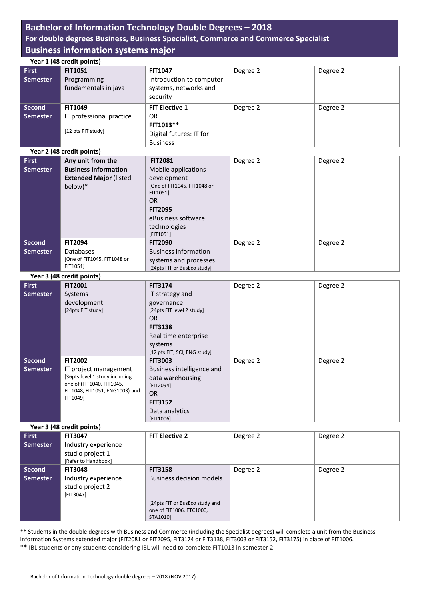## **Bachelor of Information Technology Double Degrees – 2018**

## **For double degrees Business, Business Specialist, Commerce and Commerce Specialist Business information systems major**

|                 | Year 1 (48 credit points)                  |                                                            |          |          |
|-----------------|--------------------------------------------|------------------------------------------------------------|----------|----------|
| <b>First</b>    | <b>FIT1051</b>                             | <b>FIT1047</b>                                             | Degree 2 | Degree 2 |
| <b>Semester</b> | Programming                                | Introduction to computer                                   |          |          |
|                 | fundamentals in java                       | systems, networks and                                      |          |          |
|                 |                                            | security                                                   |          |          |
|                 |                                            |                                                            |          |          |
| <b>Second</b>   | <b>FIT1049</b>                             | <b>FIT Elective 1</b>                                      | Degree 2 | Degree 2 |
| <b>Semester</b> | IT professional practice                   | <b>OR</b>                                                  |          |          |
|                 |                                            | FIT1013**                                                  |          |          |
|                 | [12 pts FIT study]                         | Digital futures: IT for                                    |          |          |
|                 |                                            | <b>Business</b>                                            |          |          |
|                 | Year 2 (48 credit points)                  |                                                            |          |          |
| <b>First</b>    | Any unit from the                          | <b>FIT2081</b>                                             | Degree 2 | Degree 2 |
| <b>Semester</b> | <b>Business Information</b>                | Mobile applications                                        |          |          |
|                 | <b>Extended Major (listed</b>              | development                                                |          |          |
|                 | below)*                                    | [One of FIT1045, FIT1048 or                                |          |          |
|                 |                                            | FIT1051]                                                   |          |          |
|                 |                                            | <b>OR</b>                                                  |          |          |
|                 |                                            | <b>FIT2095</b>                                             |          |          |
|                 |                                            | eBusiness software                                         |          |          |
|                 |                                            | technologies                                               |          |          |
|                 |                                            | [FIT1051]                                                  |          |          |
| <b>Second</b>   | <b>FIT2094</b>                             | <b>FIT2090</b>                                             | Degree 2 | Degree 2 |
| <b>Semester</b> | Databases                                  | <b>Business information</b>                                |          |          |
|                 | [One of FIT1045, FIT1048 or                | systems and processes                                      |          |          |
|                 | FIT1051]                                   | [24pts FIT or BusEco study]                                |          |          |
|                 | Year 3 (48 credit points)                  |                                                            |          |          |
| <b>First</b>    | <b>FIT2001</b>                             | <b>FIT3174</b>                                             | Degree 2 | Degree 2 |
| <b>Semester</b> | Systems                                    | IT strategy and                                            |          |          |
|                 | development                                | governance                                                 |          |          |
|                 | [24pts FIT study]                          | [24pts FIT level 2 study]                                  |          |          |
|                 |                                            | OR                                                         |          |          |
|                 |                                            | <b>FIT3138</b>                                             |          |          |
|                 |                                            | Real time enterprise                                       |          |          |
|                 |                                            | systems                                                    |          |          |
|                 |                                            | [12 pts FIT, SCI, ENG study]                               |          |          |
| <b>Second</b>   | <b>FIT2002</b>                             | <b>FIT3003</b>                                             | Degree 2 | Degree 2 |
| <b>Semester</b> | IT project management                      | Business intelligence and                                  |          |          |
|                 | [36pts level 1 study including             | data warehousing                                           |          |          |
|                 | one of (FIT1040, FIT1045,                  | [FIT2094]                                                  |          |          |
|                 | FIT1048, FIT1051, ENG1003) and<br>FIT1049] | <b>OR</b>                                                  |          |          |
|                 |                                            | <b>FIT3152</b>                                             |          |          |
|                 |                                            | Data analytics                                             |          |          |
|                 |                                            | [FIT1006]                                                  |          |          |
|                 | Year 3 (48 credit points)                  |                                                            |          |          |
| <b>First</b>    | <b>FIT3047</b>                             | <b>FIT Elective 2</b>                                      | Degree 2 | Degree 2 |
| <b>Semester</b> | Industry experience                        |                                                            |          |          |
|                 |                                            |                                                            |          |          |
|                 | studio project 1                           |                                                            |          |          |
|                 | [Refer to Handbook]                        |                                                            |          |          |
| <b>Second</b>   | <b>FIT3048</b>                             | <b>FIT3158</b>                                             | Degree 2 | Degree 2 |
| <b>Semester</b> | Industry experience                        | <b>Business decision models</b>                            |          |          |
|                 | studio project 2                           |                                                            |          |          |
|                 | [FIT3047]                                  |                                                            |          |          |
|                 |                                            | [24pts FIT or BusEco study and<br>one of FIT1006, ETC1000, |          |          |

\*\* Students in the double degrees with Business and Commerce (including the Specialist degrees) will complete a unit from the Business Information Systems extended major (FIT2081 or FIT2095, FIT3174 or FIT3138, FIT3003 or FIT3152, FIT3175) in place o[f FIT1006.](http://www.monash.edu.au/pubs/2016handbooks/units/FIT1006.html) \*\* IBL students or any students considering IBL will need to complete FIT1013 in semester 2.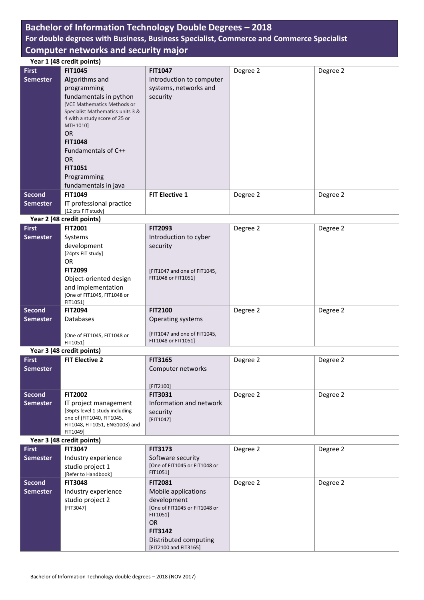# **Bachelor of Information Technology Double Degrees – 2018**

# **For double degrees with Business, Business Specialist, Commerce and Commerce Specialist Computer networks and security major**

|                 | Year 1 (48 credit points)                  |                                                |          |          |
|-----------------|--------------------------------------------|------------------------------------------------|----------|----------|
| <b>First</b>    | <b>FIT1045</b>                             | <b>FIT1047</b>                                 | Degree 2 | Degree 2 |
| <b>Semester</b> | Algorithms and                             | Introduction to computer                       |          |          |
|                 |                                            |                                                |          |          |
|                 | programming                                | systems, networks and                          |          |          |
|                 | fundamentals in python                     | security                                       |          |          |
|                 | <b>[VCE Mathematics Methods or</b>         |                                                |          |          |
|                 | Specialist Mathematics units 3 &           |                                                |          |          |
|                 | 4 with a study score of 25 or<br>MTH1010]  |                                                |          |          |
|                 |                                            |                                                |          |          |
|                 | <b>OR</b>                                  |                                                |          |          |
|                 | <b>FIT1048</b>                             |                                                |          |          |
|                 | Fundamentals of C++                        |                                                |          |          |
|                 | <b>OR</b>                                  |                                                |          |          |
|                 | <b>FIT1051</b>                             |                                                |          |          |
|                 | Programming                                |                                                |          |          |
|                 | fundamentals in java                       |                                                |          |          |
| <b>Second</b>   | <b>FIT1049</b>                             | <b>FIT Elective 1</b>                          | Degree 2 | Degree 2 |
| <b>Semester</b> | IT professional practice                   |                                                |          |          |
|                 | [12 pts FIT study]                         |                                                |          |          |
|                 |                                            |                                                |          |          |
|                 | Year 2 (48 credit points)                  |                                                |          |          |
| <b>First</b>    | <b>FIT2001</b>                             | <b>FIT2093</b>                                 | Degree 2 | Degree 2 |
| <b>Semester</b> | Systems                                    | Introduction to cyber                          |          |          |
|                 | development                                | security                                       |          |          |
|                 | [24pts FIT study]                          |                                                |          |          |
|                 | <b>OR</b>                                  |                                                |          |          |
|                 | <b>FIT2099</b>                             | [FIT1047 and one of FIT1045,                   |          |          |
|                 | Object-oriented design                     | FIT1048 or FIT1051]                            |          |          |
|                 | and implementation                         |                                                |          |          |
|                 | [One of FIT1045, FIT1048 or                |                                                |          |          |
|                 | FIT1051]                                   |                                                |          |          |
| <b>Second</b>   | <b>FIT2094</b>                             | <b>FIT2100</b>                                 | Degree 2 | Degree 2 |
| Semester        | <b>Databases</b>                           | Operating systems                              |          |          |
|                 |                                            |                                                |          |          |
|                 | [One of FIT1045, FIT1048 or                | [FIT1047 and one of FIT1045,                   |          |          |
|                 | FIT1051]                                   | FIT1048 or FIT1051]                            |          |          |
|                 | Year 3 (48 credit points)                  |                                                |          |          |
| <b>First</b>    | <b>FIT Elective 2</b>                      | <b>FIT3165</b>                                 | Degree 2 | Degree 2 |
| <b>Semester</b> |                                            | Computer networks                              |          |          |
|                 |                                            |                                                |          |          |
|                 |                                            |                                                |          |          |
|                 | <b>FIT2002</b>                             | [FIT2100]                                      |          |          |
| <b>Second</b>   |                                            |                                                |          |          |
|                 |                                            | <b>FIT3031</b>                                 | Degree 2 | Degree 2 |
| <b>Semester</b> | IT project management                      | Information and network                        |          |          |
|                 | [36pts level 1 study including             | security                                       |          |          |
|                 | one of (FIT1040, FIT1045,                  | $[FIT1047]$                                    |          |          |
|                 | FIT1048, FIT1051, ENG1003) and<br>FIT1049] |                                                |          |          |
|                 |                                            |                                                |          |          |
|                 | Year 3 (48 credit points)                  |                                                |          |          |
| <b>First</b>    | <b>FIT3047</b>                             | <b>FIT3173</b>                                 | Degree 2 | Degree 2 |
| <b>Semester</b> | Industry experience                        | Software security                              |          |          |
|                 | studio project 1                           | [One of FIT1045 or FIT1048 or                  |          |          |
|                 | [Refer to Handbook]                        | FIT1051]                                       |          |          |
| <b>Second</b>   | <b>FIT3048</b>                             | <b>FIT2081</b>                                 | Degree 2 | Degree 2 |
| <b>Semester</b> | Industry experience                        | Mobile applications                            |          |          |
|                 | studio project 2                           | development                                    |          |          |
|                 | [FIT3047]                                  | [One of FIT1045 or FIT1048 or                  |          |          |
|                 |                                            | FIT1051]                                       |          |          |
|                 |                                            | <b>OR</b>                                      |          |          |
|                 |                                            | <b>FIT3142</b>                                 |          |          |
|                 |                                            | Distributed computing<br>[FIT2100 and FIT3165] |          |          |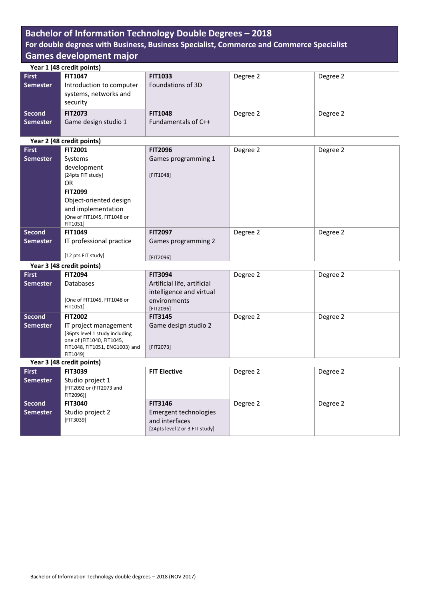# **Bachelor of Information Technology Double Degrees – 2018 For double degrees with Business, Business Specialist, Commerce and Commerce Specialist Games development major**

| Year 1 (48 credit points)        |                                                               |                                       |          |          |
|----------------------------------|---------------------------------------------------------------|---------------------------------------|----------|----------|
| <b>First</b>                     | <b>FIT1047</b>                                                | <b>FIT1033</b>                        | Degree 2 | Degree 2 |
| <b>Semester</b>                  | Introduction to computer<br>systems, networks and<br>security | Foundations of 3D                     |          |          |
| <b>Second</b><br><b>Semester</b> | <b>FIT2073</b><br>Game design studio 1                        | <b>FIT1048</b><br>Fundamentals of C++ | Degree 2 | Degree 2 |

|                 | Year 2 (48 credit points)   |                     |          |          |  |  |
|-----------------|-----------------------------|---------------------|----------|----------|--|--|
| <b>First</b>    | <b>FIT2001</b>              | <b>FIT2096</b>      | Degree 2 | Degree 2 |  |  |
| <b>Semester</b> | Systems                     | Games programming 1 |          |          |  |  |
|                 | development                 |                     |          |          |  |  |
|                 | [24pts FIT study]           | [FIT1048]           |          |          |  |  |
|                 | OR.                         |                     |          |          |  |  |
|                 | <b>FIT2099</b>              |                     |          |          |  |  |
|                 | Object-oriented design      |                     |          |          |  |  |
|                 | and implementation          |                     |          |          |  |  |
|                 | [One of FIT1045, FIT1048 or |                     |          |          |  |  |
|                 | FIT1051]                    |                     |          |          |  |  |
| Second          | <b>FIT1049</b>              | <b>FIT2097</b>      | Degree 2 | Degree 2 |  |  |
| Semester        | IT professional practice    | Games programming 2 |          |          |  |  |
|                 | [12 pts FIT study]          | [FIT2096]           |          |          |  |  |

**Year 3 (48 credit points) First Semester FIT2094** Databases [One of FIT1045, FIT1048 or FIT1051] **FIT3094** Artificial life, artificial intelligence and virtual environments [FIT2096] Degree 2 Degree 2 **Second Semester FIT2002** IT project management [36pts level 1 study including one of (FIT1040, FIT1045, FIT1048, FIT1051, ENG1003) and FIT1049] **FIT3145** Game design studio 2 [FIT2073] Degree 2 Degree 2

| Year 3 (48 credit points) |                                                           |                                                                           |          |          |
|---------------------------|-----------------------------------------------------------|---------------------------------------------------------------------------|----------|----------|
| <b>First</b>              | <b>FIT3039</b>                                            | <b>FIT Elective</b>                                                       | Degree 2 | Degree 2 |
| <b>Semester</b>           | Studio project 1<br>[FIT2092 or (FIT2073 and<br>FIT2096)] |                                                                           |          |          |
| <b>Second</b>             | <b>FIT3040</b>                                            | <b>FIT3146</b>                                                            | Degree 2 | Degree 2 |
| <b>Semester</b>           | Studio project 2<br>[FIT3039]                             | Emergent technologies<br>and interfaces<br>[24pts level 2 or 3 FIT study] |          |          |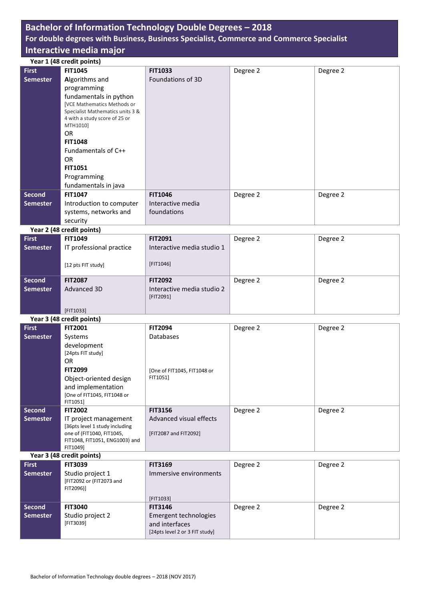#### **Bachelor of Information Technology Double Degrees – 2018 For double degrees with Business, Business Specialist, Commerce and Commerce Specialist Interactive media major Year 1 (48 credit points) First Semester FIT1045 A**lgorithms and programming fundamentals in python [VCE Mathematics Methods or Specialist Mathematics units 3 & 4 with a study score of 25 or MTH1010] OR **FIT1048**  Fundamentals of C++ OR **FIT1051** Programming fundamentals in java **FIT1033** Foundations of 3D Degree 2 Degree 2 **Second Semester FIT1047** Introduction to computer systems, networks and security **FIT1046** Interactive media foundations Degree 2 Degree 2 **Year 2 (48 credit points) First Semester FIT1049** IT professional practice [12 pts FIT study] **FIT2091** Interactive media studio 1 [FIT1046] Degree 2 Degree 2 **Second Semester FIT2087** Advanced 3D [FIT1033] **FIT2092** Interactive media studio 2 [FIT2091] Degree 2 Degree 2 **Year 3 (48 credit points) First Semester FIT2001** Systems development [24pts FIT study] OR **FIT2099** Object-oriented design and implementation [One of FIT1045, FIT1048 or **FIT2094** Databases [One of FIT1045, FIT1048 or FIT1051] Degree 2 Degree 2

FIT1051] **Second Semester FIT2002** IT project management [36pts level 1 study including one of (FIT1040, FIT1045, FIT1048, FIT1051, ENG1003) and FIT1049] **FIT3156** Advanced visual effects [FIT2087 and FIT2092] Degree 2 Degree 2

#### **Year 3 (48 credit points)**

| <b>First</b>    | <b>FIT3039</b>                                            | <b>FIT3169</b>                                                            | Degree 2 | Degree 2 |
|-----------------|-----------------------------------------------------------|---------------------------------------------------------------------------|----------|----------|
| <b>Semester</b> | Studio project 1<br>[FIT2092 or (FIT2073 and<br>FIT2096)] | Immersive environments                                                    |          |          |
|                 |                                                           | [FIT1033]                                                                 |          |          |
| <b>Second</b>   | <b>FIT3040</b>                                            | <b>FIT3146</b>                                                            | Degree 2 | Degree 2 |
| <b>Semester</b> | Studio project 2<br>[FIT3039]                             | Emergent technologies<br>and interfaces<br>[24pts level 2 or 3 FIT study] |          |          |